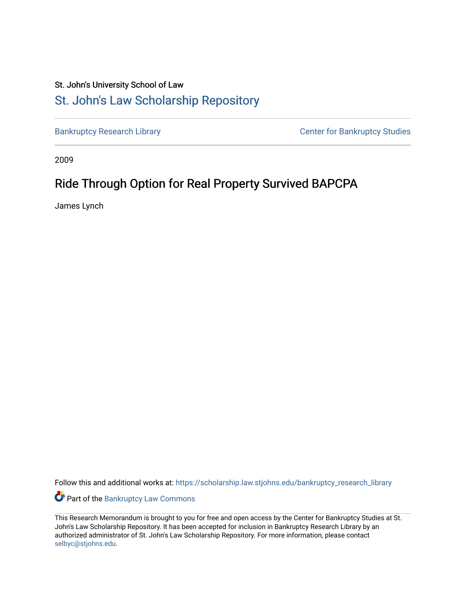## St. John's University School of Law

## [St. John's Law Scholarship Repository](https://scholarship.law.stjohns.edu/)

[Bankruptcy Research Library](https://scholarship.law.stjohns.edu/bankruptcy_research_library) **CENTER CENTER STANDARY CENTER CENTER STANDARY CENTER STANDARY CENTER STANDARY CENTER** 

2009

# Ride Through Option for Real Property Survived BAPCPA

James Lynch

Follow this and additional works at: [https://scholarship.law.stjohns.edu/bankruptcy\\_research\\_library](https://scholarship.law.stjohns.edu/bankruptcy_research_library?utm_source=scholarship.law.stjohns.edu%2Fbankruptcy_research_library%2F260&utm_medium=PDF&utm_campaign=PDFCoverPages) 

Part of the [Bankruptcy Law Commons](http://network.bepress.com/hgg/discipline/583?utm_source=scholarship.law.stjohns.edu%2Fbankruptcy_research_library%2F260&utm_medium=PDF&utm_campaign=PDFCoverPages) 

This Research Memorandum is brought to you for free and open access by the Center for Bankruptcy Studies at St. John's Law Scholarship Repository. It has been accepted for inclusion in Bankruptcy Research Library by an authorized administrator of St. John's Law Scholarship Repository. For more information, please contact [selbyc@stjohns.edu](mailto:selbyc@stjohns.edu).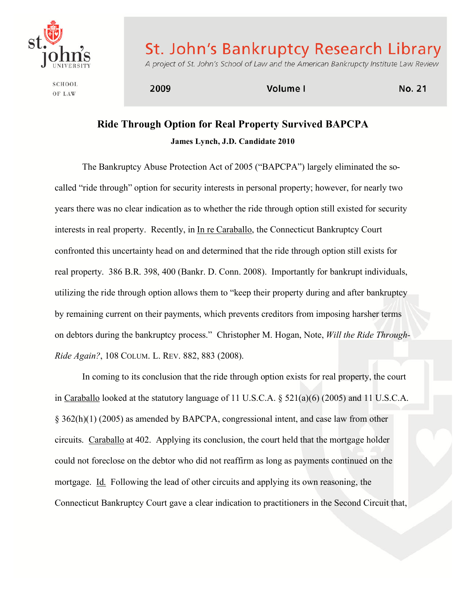

St. John's Bankruptcy Research Library

**SCHOOL** OF LAW

A project of St. John's School of Law and the American Bankrupcty Institute Law Review

2009

Volume I

**No. 21** 

## **Ride Through Option for Real Property Survived BAPCPA James Lynch, J.D. Candidate 2010**

The Bankruptcy Abuse Protection Act of 2005 ("BAPCPA") largely eliminated the socalled "ride through" option for security interests in personal property; however, for nearly two years there was no clear indication as to whether the ride through option still existed for security interests in real property. Recently, in In re Caraballo, the Connecticut Bankruptcy Court confronted this uncertainty head on and determined that the ride through option still exists for real property. 386 B.R. 398, 400 (Bankr. D. Conn. 2008). Importantly for bankrupt individuals, utilizing the ride through option allows them to "keep their property during and after bankruptcy by remaining current on their payments, which prevents creditors from imposing harsher terms on debtors during the bankruptcy process." Christopher M. Hogan, Note, *Will the Ride Through-Ride Again?*, 108 COLUM. L. REV. 882, 883 (2008).

In coming to its conclusion that the ride through option exists for real property, the court in Caraballo looked at the statutory language of 11 U.S.C.A. § 521(a)(6) (2005) and 11 U.S.C.A. § 362(h)(1) (2005) as amended by BAPCPA, congressional intent, and case law from other circuits. Caraballo at 402. Applying its conclusion, the court held that the mortgage holder could not foreclose on the debtor who did not reaffirm as long as payments continued on the mortgage. Id. Following the lead of other circuits and applying its own reasoning, the Connecticut Bankruptcy Court gave a clear indication to practitioners in the Second Circuit that,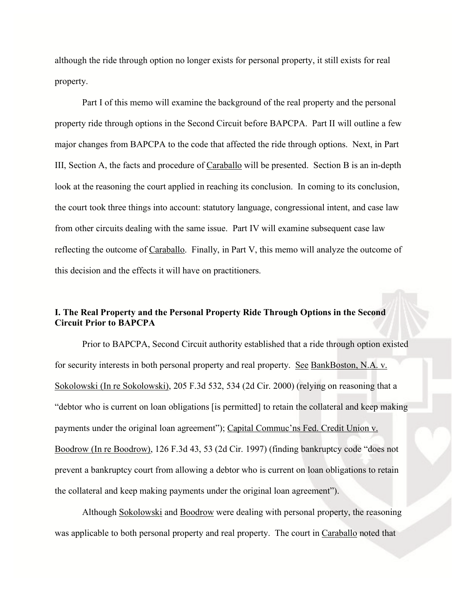although the ride through option no longer exists for personal property, it still exists for real property.

Part I of this memo will examine the background of the real property and the personal property ride through options in the Second Circuit before BAPCPA. Part II will outline a few major changes from BAPCPA to the code that affected the ride through options. Next, in Part III, Section A, the facts and procedure of Caraballo will be presented. Section B is an in-depth look at the reasoning the court applied in reaching its conclusion. In coming to its conclusion, the court took three things into account: statutory language, congressional intent, and case law from other circuits dealing with the same issue. Part IV will examine subsequent case law reflecting the outcome of Caraballo. Finally, in Part V, this memo will analyze the outcome of this decision and the effects it will have on practitioners.

## **I. The Real Property and the Personal Property Ride Through Options in the Second Circuit Prior to BAPCPA**

Prior to BAPCPA, Second Circuit authority established that a ride through option existed for security interests in both personal property and real property. See BankBoston, N.A. v. Sokolowski (In re Sokolowski), 205 F.3d 532, 534 (2d Cir. 2000) (relying on reasoning that a "debtor who is current on loan obligations [is permitted] to retain the collateral and keep making payments under the original loan agreement"); Capital Commuc'ns Fed. Credit Union v. Boodrow (In re Boodrow), 126 F.3d 43, 53 (2d Cir. 1997) (finding bankruptcy code "does not prevent a bankruptcy court from allowing a debtor who is current on loan obligations to retain the collateral and keep making payments under the original loan agreement").

Although Sokolowski and Boodrow were dealing with personal property, the reasoning was applicable to both personal property and real property. The court in Caraballo noted that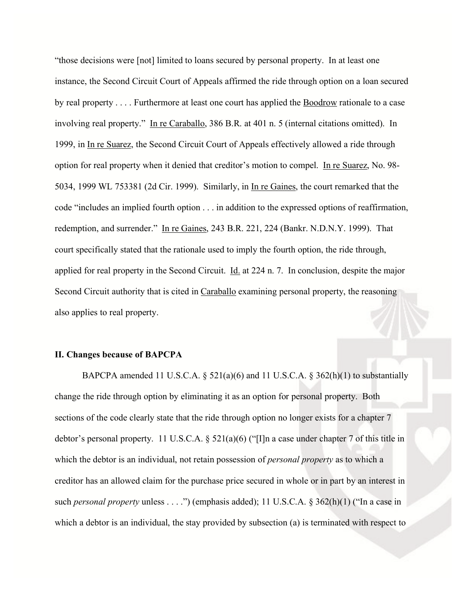"those decisions were [not] limited to loans secured by personal property. In at least one instance, the Second Circuit Court of Appeals affirmed the ride through option on a loan secured by real property . . . . Furthermore at least one court has applied the **Boodrow** rationale to a case involving real property." In re Caraballo, 386 B.R. at 401 n. 5 (internal citations omitted). In 1999, in In re Suarez, the Second Circuit Court of Appeals effectively allowed a ride through option for real property when it denied that creditor's motion to compel. In re Suarez, No. 98- 5034, 1999 WL 753381 (2d Cir. 1999). Similarly, in In re Gaines, the court remarked that the code "includes an implied fourth option . . . in addition to the expressed options of reaffirmation, redemption, and surrender." In re Gaines, 243 B.R. 221, 224 (Bankr. N.D.N.Y. 1999). That court specifically stated that the rationale used to imply the fourth option, the ride through, applied for real property in the Second Circuit. Id. at 224 n. 7. In conclusion, despite the major Second Circuit authority that is cited in Caraballo examining personal property, the reasoning also applies to real property.

### **II. Changes because of BAPCPA**

BAPCPA amended 11 U.S.C.A.  $\S$  521(a)(6) and 11 U.S.C.A.  $\S$  362(h)(1) to substantially change the ride through option by eliminating it as an option for personal property. Both sections of the code clearly state that the ride through option no longer exists for a chapter 7 debtor's personal property. 11 U.S.C.A. § 521(a)(6) ("[I]n a case under chapter 7 of this title in which the debtor is an individual, not retain possession of *personal property* as to which a creditor has an allowed claim for the purchase price secured in whole or in part by an interest in such *personal property* unless . . . .") (emphasis added); 11 U.S.C.A. § 362(h)(1) ("In a case in which a debtor is an individual, the stay provided by subsection (a) is terminated with respect to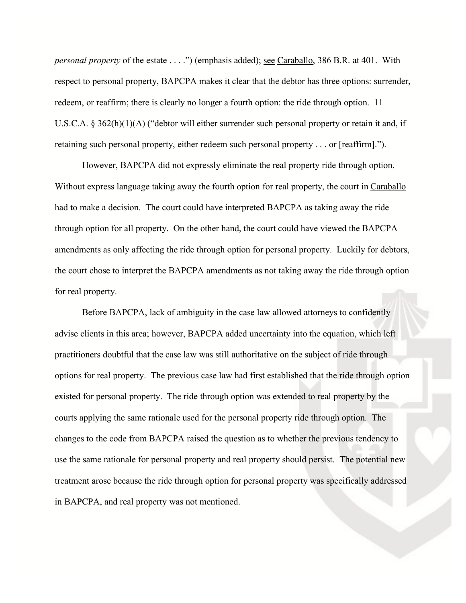*personal property* of the estate . . . .") (emphasis added); <u>see Caraballo</u>, 386 B.R. at 401. With respect to personal property, BAPCPA makes it clear that the debtor has three options: surrender, redeem, or reaffirm; there is clearly no longer a fourth option: the ride through option. 11 U.S.C.A. § 362(h)(1)(A) ("debtor will either surrender such personal property or retain it and, if retaining such personal property, either redeem such personal property . . . or [reaffirm].").

However, BAPCPA did not expressly eliminate the real property ride through option. Without express language taking away the fourth option for real property, the court in Caraballo had to make a decision. The court could have interpreted BAPCPA as taking away the ride through option for all property. On the other hand, the court could have viewed the BAPCPA amendments as only affecting the ride through option for personal property. Luckily for debtors, the court chose to interpret the BAPCPA amendments as not taking away the ride through option for real property.

Before BAPCPA, lack of ambiguity in the case law allowed attorneys to confidently advise clients in this area; however, BAPCPA added uncertainty into the equation, which left practitioners doubtful that the case law was still authoritative on the subject of ride through options for real property. The previous case law had first established that the ride through option existed for personal property. The ride through option was extended to real property by the courts applying the same rationale used for the personal property ride through option. The changes to the code from BAPCPA raised the question as to whether the previous tendency to use the same rationale for personal property and real property should persist. The potential new treatment arose because the ride through option for personal property was specifically addressed in BAPCPA, and real property was not mentioned.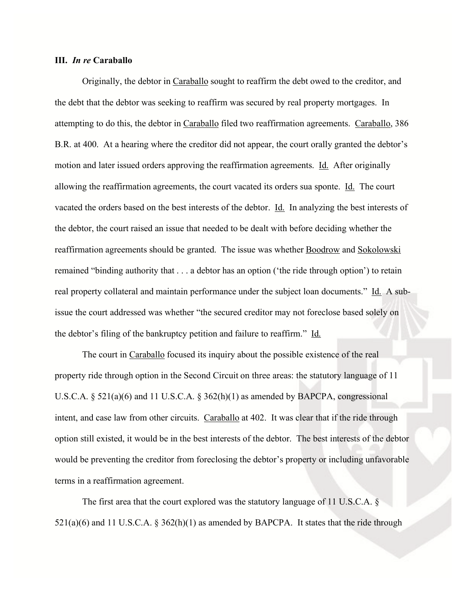### **III.** *In re* **Caraballo**

Originally, the debtor in Caraballo sought to reaffirm the debt owed to the creditor, and the debt that the debtor was seeking to reaffirm was secured by real property mortgages. In attempting to do this, the debtor in Caraballo filed two reaffirmation agreements. Caraballo, 386 B.R. at 400. At a hearing where the creditor did not appear, the court orally granted the debtor's motion and later issued orders approving the reaffirmation agreements. Id. After originally allowing the reaffirmation agreements, the court vacated its orders sua sponte. Id. The court vacated the orders based on the best interests of the debtor. Id. In analyzing the best interests of the debtor, the court raised an issue that needed to be dealt with before deciding whether the reaffirmation agreements should be granted. The issue was whether Boodrow and Sokolowski remained "binding authority that . . . a debtor has an option ('the ride through option') to retain real property collateral and maintain performance under the subject loan documents." Id. A subissue the court addressed was whether "the secured creditor may not foreclose based solely on the debtor's filing of the bankruptcy petition and failure to reaffirm." Id.

The court in Caraballo focused its inquiry about the possible existence of the real property ride through option in the Second Circuit on three areas: the statutory language of 11 U.S.C.A.  $\S$  521(a)(6) and 11 U.S.C.A.  $\S$  362(h)(1) as amended by BAPCPA, congressional intent, and case law from other circuits. Caraballo at 402. It was clear that if the ride through option still existed, it would be in the best interests of the debtor. The best interests of the debtor would be preventing the creditor from foreclosing the debtor's property or including unfavorable terms in a reaffirmation agreement.

The first area that the court explored was the statutory language of 11 U.S.C.A. §  $521(a)(6)$  and 11 U.S.C.A. § 362(h)(1) as amended by BAPCPA. It states that the ride through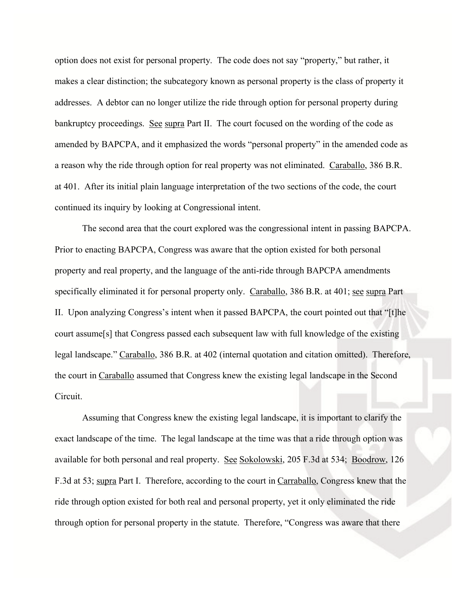option does not exist for personal property. The code does not say "property," but rather, it makes a clear distinction; the subcategory known as personal property is the class of property it addresses. A debtor can no longer utilize the ride through option for personal property during bankruptcy proceedings. See supra Part II. The court focused on the wording of the code as amended by BAPCPA, and it emphasized the words "personal property" in the amended code as a reason why the ride through option for real property was not eliminated. Caraballo, 386 B.R. at 401. After its initial plain language interpretation of the two sections of the code, the court continued its inquiry by looking at Congressional intent.

The second area that the court explored was the congressional intent in passing BAPCPA. Prior to enacting BAPCPA, Congress was aware that the option existed for both personal property and real property, and the language of the anti-ride through BAPCPA amendments specifically eliminated it for personal property only. Caraballo, 386 B.R. at 401; see supra Part II. Upon analyzing Congress's intent when it passed BAPCPA, the court pointed out that "[t]he court assume[s] that Congress passed each subsequent law with full knowledge of the existing legal landscape." Caraballo, 386 B.R. at 402 (internal quotation and citation omitted). Therefore, the court in Caraballo assumed that Congress knew the existing legal landscape in the Second Circuit.

Assuming that Congress knew the existing legal landscape, it is important to clarify the exact landscape of the time. The legal landscape at the time was that a ride through option was available for both personal and real property. See Sokolowski, 205 F.3d at 534; Boodrow, 126 F.3d at 53; supra Part I. Therefore, according to the court in Carraballo, Congress knew that the ride through option existed for both real and personal property, yet it only eliminated the ride through option for personal property in the statute. Therefore, "Congress was aware that there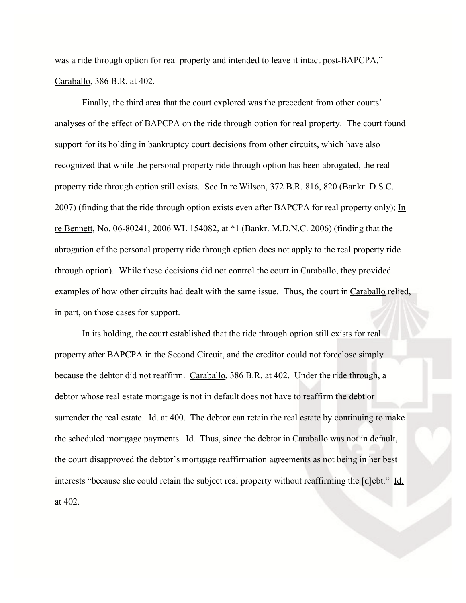was a ride through option for real property and intended to leave it intact post-BAPCPA." Caraballo, 386 B.R. at 402.

Finally, the third area that the court explored was the precedent from other courts' analyses of the effect of BAPCPA on the ride through option for real property. The court found support for its holding in bankruptcy court decisions from other circuits, which have also recognized that while the personal property ride through option has been abrogated, the real property ride through option still exists. See In re Wilson, 372 B.R. 816, 820 (Bankr. D.S.C. 2007) (finding that the ride through option exists even after BAPCPA for real property only); In re Bennett, No. 06-80241, 2006 WL 154082, at \*1 (Bankr. M.D.N.C. 2006) (finding that the abrogation of the personal property ride through option does not apply to the real property ride through option). While these decisions did not control the court in Caraballo, they provided examples of how other circuits had dealt with the same issue. Thus, the court in Caraballo relied, in part, on those cases for support.

In its holding, the court established that the ride through option still exists for real property after BAPCPA in the Second Circuit, and the creditor could not foreclose simply because the debtor did not reaffirm. Caraballo, 386 B.R. at 402. Under the ride through, a debtor whose real estate mortgage is not in default does not have to reaffirm the debt or surrender the real estate.  $\underline{Id}$  at 400. The debtor can retain the real estate by continuing to make the scheduled mortgage payments. Id. Thus, since the debtor in Caraballo was not in default, the court disapproved the debtor's mortgage reaffirmation agreements as not being in her best interests "because she could retain the subject real property without reaffirming the [d]ebt." Id. at 402.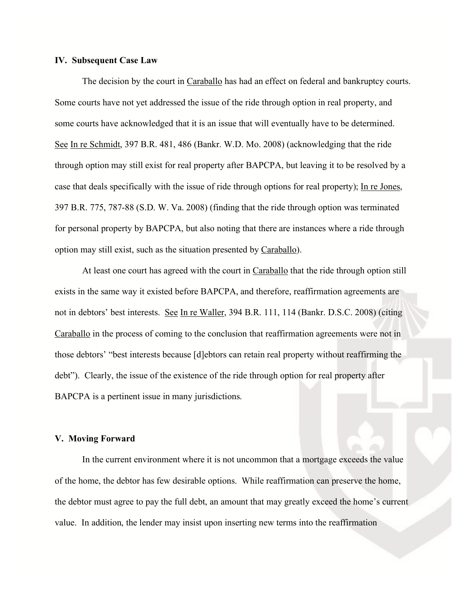### **IV. Subsequent Case Law**

The decision by the court in Caraballo has had an effect on federal and bankruptcy courts. Some courts have not yet addressed the issue of the ride through option in real property, and some courts have acknowledged that it is an issue that will eventually have to be determined. See In re Schmidt, 397 B.R. 481, 486 (Bankr. W.D. Mo. 2008) (acknowledging that the ride through option may still exist for real property after BAPCPA, but leaving it to be resolved by a case that deals specifically with the issue of ride through options for real property); In re Jones, 397 B.R. 775, 787-88 (S.D. W. Va. 2008) (finding that the ride through option was terminated for personal property by BAPCPA, but also noting that there are instances where a ride through option may still exist, such as the situation presented by Caraballo).

At least one court has agreed with the court in Caraballo that the ride through option still exists in the same way it existed before BAPCPA, and therefore, reaffirmation agreements are not in debtors' best interests. See In re Waller, 394 B.R. 111, 114 (Bankr. D.S.C. 2008) (citing Caraballo in the process of coming to the conclusion that reaffirmation agreements were not in those debtors' "best interests because [d]ebtors can retain real property without reaffirming the debt"). Clearly, the issue of the existence of the ride through option for real property after BAPCPA is a pertinent issue in many jurisdictions.

#### **V. Moving Forward**

In the current environment where it is not uncommon that a mortgage exceeds the value of the home, the debtor has few desirable options. While reaffirmation can preserve the home, the debtor must agree to pay the full debt, an amount that may greatly exceed the home's current value. In addition, the lender may insist upon inserting new terms into the reaffirmation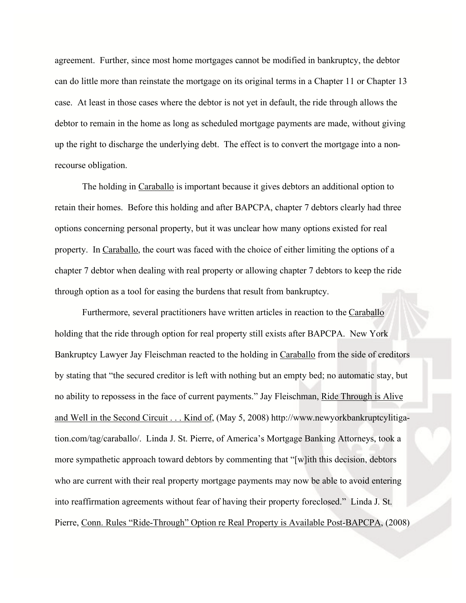agreement. Further, since most home mortgages cannot be modified in bankruptcy, the debtor can do little more than reinstate the mortgage on its original terms in a Chapter 11 or Chapter 13 case. At least in those cases where the debtor is not yet in default, the ride through allows the debtor to remain in the home as long as scheduled mortgage payments are made, without giving up the right to discharge the underlying debt. The effect is to convert the mortgage into a nonrecourse obligation.

The holding in Caraballo is important because it gives debtors an additional option to retain their homes. Before this holding and after BAPCPA, chapter 7 debtors clearly had three options concerning personal property, but it was unclear how many options existed for real property. In Caraballo, the court was faced with the choice of either limiting the options of a chapter 7 debtor when dealing with real property or allowing chapter 7 debtors to keep the ride through option as a tool for easing the burdens that result from bankruptcy.

Furthermore, several practitioners have written articles in reaction to the Caraballo holding that the ride through option for real property still exists after BAPCPA. New York Bankruptcy Lawyer Jay Fleischman reacted to the holding in Caraballo from the side of creditors by stating that "the secured creditor is left with nothing but an empty bed; no automatic stay, but no ability to repossess in the face of current payments." Jay Fleischman, Ride Through is Alive and Well in the Second Circuit . . . Kind of, (May 5, 2008) http://www.newyorkbankruptcylitigation.com/tag/caraballo/. Linda J. St. Pierre, of America's Mortgage Banking Attorneys, took a more sympathetic approach toward debtors by commenting that "[w]ith this decision, debtors who are current with their real property mortgage payments may now be able to avoid entering into reaffirmation agreements without fear of having their property foreclosed." Linda J. St. Pierre, Conn. Rules "Ride-Through" Option re Real Property is Available Post-BAPCPA, (2008)